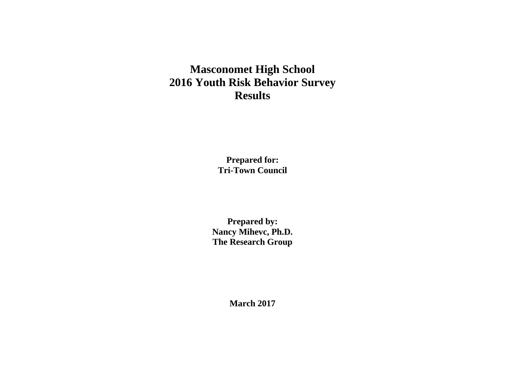# **Masconomet High School 2016 Youth Risk Behavior Survey Results**

**Prepared for: Tri-Town Council**

**Prepared by: Nancy Mihevc, Ph.D. The Research Group**

**March 2017**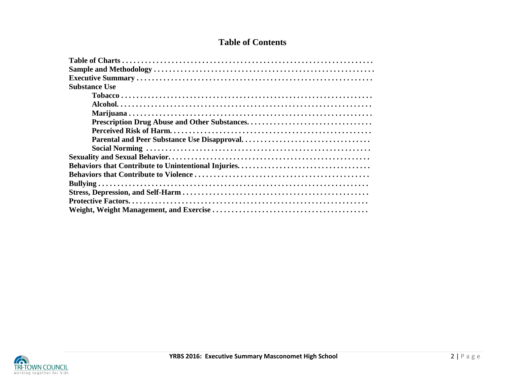# **Table of Contents**

| <b>Substance Use</b> |
|----------------------|
|                      |
|                      |
|                      |
|                      |
|                      |
|                      |
|                      |
|                      |
|                      |
|                      |
|                      |
|                      |
|                      |
|                      |

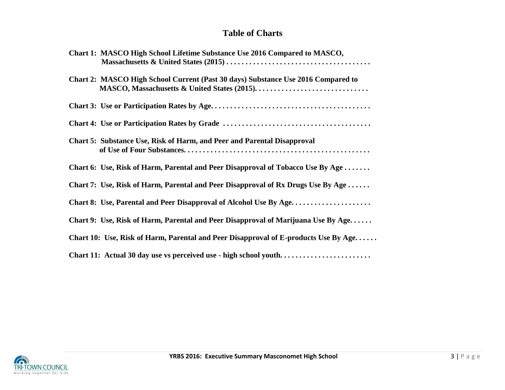# **Table of Charts**

| Chart 1: MASCO High School Lifetime Substance Use 2016 Compared to MASCO,           |  |
|-------------------------------------------------------------------------------------|--|
| Chart 2: MASCO High School Current (Past 30 days) Substance Use 2016 Compared to    |  |
|                                                                                     |  |
|                                                                                     |  |
| <b>Chart 5: Substance Use, Risk of Harm, and Peer and Parental Disapproval</b>      |  |
| Chart 6: Use, Risk of Harm, Parental and Peer Disapproval of Tobacco Use By Age     |  |
| Chart 7: Use, Risk of Harm, Parental and Peer Disapproval of Rx Drugs Use By Age    |  |
| Chart 8: Use, Parental and Peer Disapproval of Alcohol Use By Age                   |  |
| Chart 9: Use, Risk of Harm, Parental and Peer Disapproval of Marijuana Use By Age   |  |
| Chart 10: Use, Risk of Harm, Parental and Peer Disapproval of E-products Use By Age |  |
| Chart 11: Actual 30 day use vs perceived use - high school youth                    |  |

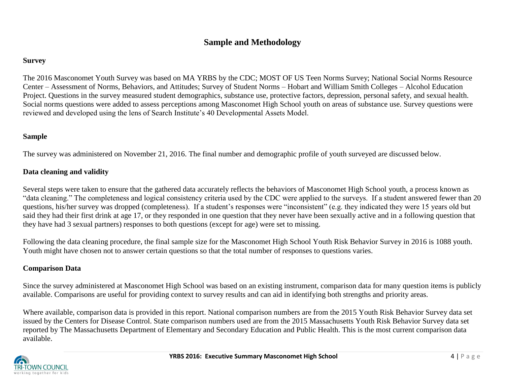# **Sample and Methodology**

## **Survey**

The 2016 Masconomet Youth Survey was based on MA YRBS by the CDC; MOST OF US Teen Norms Survey; National Social Norms Resource Center – Assessment of Norms, Behaviors, and Attitudes; Survey of Student Norms – Hobart and William Smith Colleges – Alcohol Education Project. Questions in the survey measured student demographics, substance use, protective factors, depression, personal safety, and sexual health. Social norms questions were added to assess perceptions among Masconomet High School youth on areas of substance use. Survey questions were reviewed and developed using the lens of Search Institute's 40 Developmental Assets Model.

# **Sample**

The survey was administered on November 21, 2016. The final number and demographic profile of youth surveyed are discussed below.

# **Data cleaning and validity**

Several steps were taken to ensure that the gathered data accurately reflects the behaviors of Masconomet High School youth, a process known as "data cleaning." The completeness and logical consistency criteria used by the CDC were applied to the surveys. If a student answered fewer than 20 questions, his/her survey was dropped (completeness). If a student's responses were "inconsistent" (e.g. they indicated they were 15 years old but said they had their first drink at age 17, or they responded in one question that they never have been sexually active and in a following question that they have had 3 sexual partners) responses to both questions (except for age) were set to missing.

Following the data cleaning procedure, the final sample size for the Masconomet High School Youth Risk Behavior Survey in 2016 is 1088 youth. Youth might have chosen not to answer certain questions so that the total number of responses to questions varies.

# **Comparison Data**

Since the survey administered at Masconomet High School was based on an existing instrument, comparison data for many question items is publicly available. Comparisons are useful for providing context to survey results and can aid in identifying both strengths and priority areas.

Where available, comparison data is provided in this report. National comparison numbers are from the 2015 Youth Risk Behavior Survey data set issued by the Centers for Disease Control. State comparison numbers used are from the 2015 Massachusetts Youth Risk Behavior Survey data set reported by The Massachusetts Department of Elementary and Secondary Education and Public Health. This is the most current comparison data available.

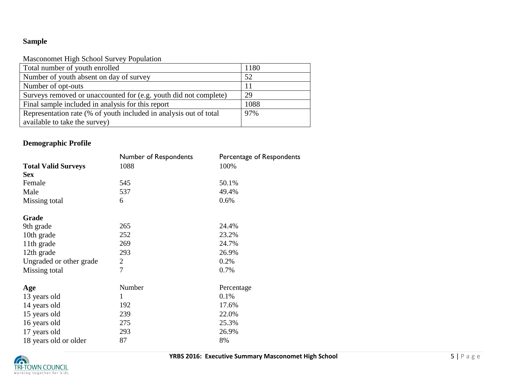# **Sample**

## Masconomet High School Survey Population

| Total number of youth enrolled                                    | 1180 |
|-------------------------------------------------------------------|------|
| Number of youth absent on day of survey                           | 52   |
| Number of opt-outs                                                |      |
| Surveys removed or unaccounted for (e.g. youth did not complete)  | 29   |
| Final sample included in analysis for this report                 | 1088 |
| Representation rate (% of youth included in analysis out of total | 97%  |
| available to take the survey)                                     |      |

# **Demographic Profile**

|                            | Number of Respondents | Percentage of Respondents |
|----------------------------|-----------------------|---------------------------|
| <b>Total Valid Surveys</b> | 1088                  | 100%                      |
| <b>Sex</b>                 |                       |                           |
| Female                     | 545                   | 50.1%                     |
| Male                       | 537                   | 49.4%                     |
| Missing total              | 6                     | 0.6%                      |
| Grade                      |                       |                           |
| 9th grade                  | 265                   | 24.4%                     |
| 10th grade                 | 252                   | 23.2%                     |
| 11th grade                 | 269                   | 24.7%                     |
| 12th grade                 | 293                   | 26.9%                     |
| Ungraded or other grade    | 2                     | 0.2%                      |
| Missing total              | 7                     | 0.7%                      |
| Age                        | Number                | Percentage                |
| 13 years old               | 1                     | 0.1%                      |
| 14 years old               | 192                   | 17.6%                     |
| 15 years old               | 239                   | 22.0%                     |
| 16 years old               | 275                   | 25.3%                     |
| 17 years old               | 293                   | 26.9%                     |
| 18 years old or older      | 87                    | 8%                        |

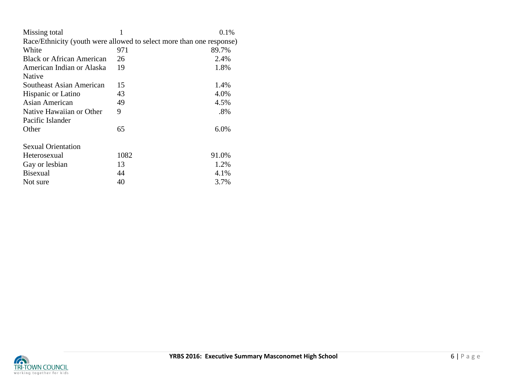| Missing total                                                        |      | 0.1%   |  |
|----------------------------------------------------------------------|------|--------|--|
| Race/Ethnicity (youth were allowed to select more than one response) |      |        |  |
| White                                                                | 971  | 89.7%  |  |
| <b>Black or African American</b>                                     | 26   | 2.4%   |  |
| American Indian or Alaska                                            | 19   | 1.8%   |  |
| Native                                                               |      |        |  |
| Southeast Asian American                                             | 15   | 1.4%   |  |
| Hispanic or Latino                                                   | 43   | 4.0%   |  |
| Asian American                                                       | 49   | 4.5%   |  |
| Native Hawaiian or Other                                             | 9    | $.8\%$ |  |
| Pacific Islander                                                     |      |        |  |
| Other                                                                | 65   | 6.0%   |  |
| <b>Sexual Orientation</b>                                            |      |        |  |
| Heterosexual                                                         | 1082 | 91.0%  |  |
| Gay or lesbian                                                       | 13   | 1.2%   |  |
| <b>Bisexual</b>                                                      | 44   | 4.1%   |  |
| Not sure                                                             | 40   | 3.7%   |  |

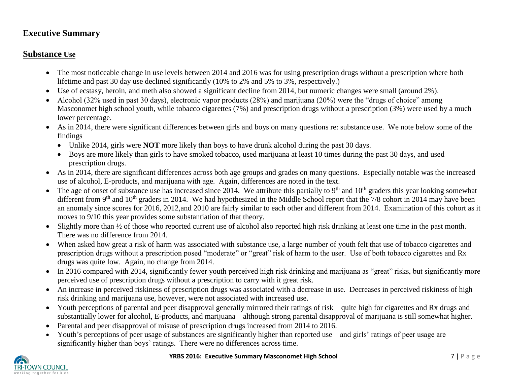# **Executive Summary**

# **Substance Use**

- The most noticeable change in use levels between 2014 and 2016 was for using prescription drugs without a prescription where both lifetime and past 30 day use declined significantly (10% to 2% and 5% to 3%, respectively.)
- Use of ecstasy, heroin, and meth also showed a significant decline from 2014, but numeric changes were small (around 2%).
- Alcohol (32% used in past 30 days), electronic vapor products (28%) and marijuana (20%) were the "drugs of choice" among Masconomet high school youth, while tobacco cigarettes (7%) and prescription drugs without a prescription (3%) were used by a much lower percentage.
- As in 2014, there were significant differences between girls and boys on many questions re: substance use. We note below some of the findings
	- Unlike 2014, girls were **NOT** more likely than boys to have drunk alcohol during the past 30 days.
	- Boys are more likely than girls to have smoked tobacco, used marijuana at least 10 times during the past 30 days, and used prescription drugs.
- As in 2014, there are significant differences across both age groups and grades on many questions. Especially notable was the increased use of alcohol, E-products, and marijuana with age. Again, differences are noted in the text.
- The age of onset of substance use has increased since 2014. We attribute this partially to  $9<sup>th</sup>$  and  $10<sup>th</sup>$  graders this year looking somewhat different from 9<sup>th</sup> and 10<sup>th</sup> graders in 2014. We had hypothesized in the Middle School report that the 7/8 cohort in 2014 may have been an anomaly since scores for 2016, 2012,and 2010 are fairly similar to each other and different from 2014. Examination of this cohort as it moves to 9/10 this year provides some substantiation of that theory.
- Slightly more than <sup>1/2</sup> of those who reported current use of alcohol also reported high risk drinking at least one time in the past month. There was no difference from 2014.
- When asked how great a risk of harm was associated with substance use, a large number of youth felt that use of tobacco cigarettes and prescription drugs without a prescription posed "moderate" or "great" risk of harm to the user. Use of both tobacco cigarettes and Rx drugs was quite low. Again, no change from 2014.
- In 2016 compared with 2014, significantly fewer youth perceived high risk drinking and marijuana as "great" risks, but significantly more perceived use of prescription drugs without a prescription to carry with it great risk.
- An increase in perceived riskiness of prescription drugs was associated with a decrease in use. Decreases in perceived riskiness of high risk drinking and marijuana use, however, were not associated with increased use.
- Youth perceptions of parental and peer disapproval generally mirrored their ratings of risk quite high for cigarettes and Rx drugs and substantially lower for alcohol, E-products, and marijuana – although strong parental disapproval of marijuana is still somewhat higher.
- Parental and peer disapproval of misuse of prescription drugs increased from 2014 to 2016.
- Youth's perceptions of peer usage of substances are significantly higher than reported use and girls' ratings of peer usage are significantly higher than boys' ratings. There were no differences across time.

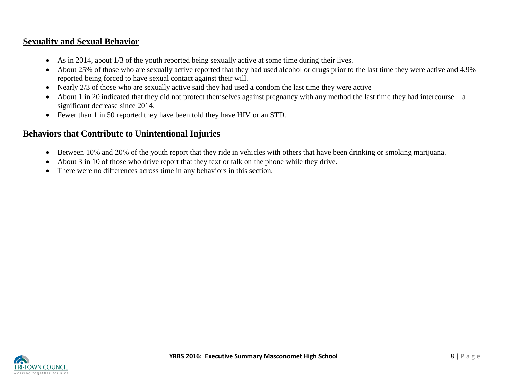# **Sexuality and Sexual Behavior**

- As in 2014, about 1/3 of the youth reported being sexually active at some time during their lives.
- About 25% of those who are sexually active reported that they had used alcohol or drugs prior to the last time they were active and 4.9% reported being forced to have sexual contact against their will.
- Nearly 2/3 of those who are sexually active said they had used a condom the last time they were active
- About 1 in 20 indicated that they did not protect themselves against pregnancy with any method the last time they had intercourse a significant decrease since 2014.
- Fewer than 1 in 50 reported they have been told they have HIV or an STD.

# **Behaviors that Contribute to Unintentional Injuries**

- Between 10% and 20% of the youth report that they ride in vehicles with others that have been drinking or smoking marijuana.
- About 3 in 10 of those who drive report that they text or talk on the phone while they drive.
- There were no differences across time in any behaviors in this section.

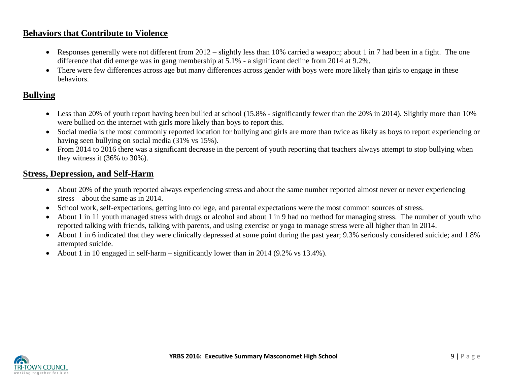# **Behaviors that Contribute to Violence**

- Responses generally were not different from 2012 slightly less than 10% carried a weapon; about 1 in 7 had been in a fight. The one difference that did emerge was in gang membership at 5.1% - a significant decline from 2014 at 9.2%.
- There were few differences across age but many differences across gender with boys were more likely than girls to engage in these behaviors.

# **Bullying**

- Less than 20% of youth report having been bullied at school (15.8% significantly fewer than the 20% in 2014). Slightly more than 10% were bullied on the internet with girls more likely than boys to report this.
- Social media is the most commonly reported location for bullying and girls are more than twice as likely as boys to report experiencing or having seen bullying on social media (31% vs 15%).
- From 2014 to 2016 there was a significant decrease in the percent of youth reporting that teachers always attempt to stop bullying when they witness it (36% to 30%).

# **Stress, Depression, and Self-Harm**

- About 20% of the youth reported always experiencing stress and about the same number reported almost never or never experiencing stress – about the same as in 2014.
- School work, self-expectations, getting into college, and parental expectations were the most common sources of stress.
- About 1 in 11 youth managed stress with drugs or alcohol and about 1 in 9 had no method for managing stress. The number of youth who reported talking with friends, talking with parents, and using exercise or yoga to manage stress were all higher than in 2014.
- About 1 in 6 indicated that they were clinically depressed at some point during the past year; 9.3% seriously considered suicide; and 1.8% attempted suicide.
- About 1 in 10 engaged in self-harm significantly lower than in 2014 (9.2% vs 13.4%).

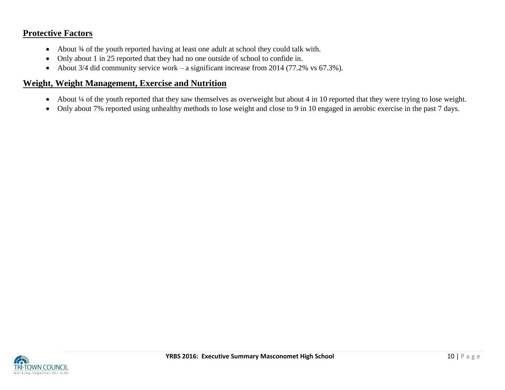# **Protective Factors**

- About 3/4 of the youth reported having at least one adult at school they could talk with.
- Only about 1 in 25 reported that they had no one outside of school to confide in.
- About 3/4 did community service work a significant increase from 2014 (77.2% vs  $67.3\%$ ).

# **Weight, Weight Management, Exercise and Nutrition**

- About ¼ of the youth reported that they saw themselves as overweight but about 4 in 10 reported that they were trying to lose weight.
- Only about 7% reported using unhealthy methods to lose weight and close to 9 in 10 engaged in aerobic exercise in the past 7 days.

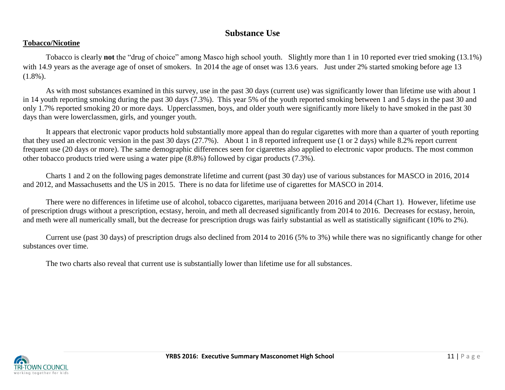# **Substance Use**

### **Tobacco/Nicotine**

Tobacco is clearly **not** the "drug of choice" among Masco high school youth. Slightly more than 1 in 10 reported ever tried smoking (13.1%) with 14.9 years as the average age of onset of smokers. In 2014 the age of onset was 13.6 years. Just under 2% started smoking before age 13  $(1.8\%)$ .

As with most substances examined in this survey, use in the past 30 days (current use) was significantly lower than lifetime use with about 1 in 14 youth reporting smoking during the past 30 days (7.3%). This year 5% of the youth reported smoking between 1 and 5 days in the past 30 and only 1.7% reported smoking 20 or more days. Upperclassmen, boys, and older youth were significantly more likely to have smoked in the past 30 days than were lowerclassmen, girls, and younger youth.

It appears that electronic vapor products hold substantially more appeal than do regular cigarettes with more than a quarter of youth reporting that they used an electronic version in the past 30 days (27.7%). About 1 in 8 reported infrequent use (1 or 2 days) while 8.2% report current frequent use (20 days or more). The same demographic differences seen for cigarettes also applied to electronic vapor products. The most common other tobacco products tried were using a water pipe (8.8%) followed by cigar products (7.3%).

Charts 1 and 2 on the following pages demonstrate lifetime and current (past 30 day) use of various substances for MASCO in 2016, 2014 and 2012, and Massachusetts and the US in 2015. There is no data for lifetime use of cigarettes for MASCO in 2014.

There were no differences in lifetime use of alcohol, tobacco cigarettes, marijuana between 2016 and 2014 (Chart 1). However, lifetime use of prescription drugs without a prescription, ecstasy, heroin, and meth all decreased significantly from 2014 to 2016. Decreases for ecstasy, heroin, and meth were all numerically small, but the decrease for prescription drugs was fairly substantial as well as statistically significant (10% to 2%).

Current use (past 30 days) of prescription drugs also declined from 2014 to 2016 (5% to 3%) while there was no significantly change for other substances over time.

The two charts also reveal that current use is substantially lower than lifetime use for all substances.

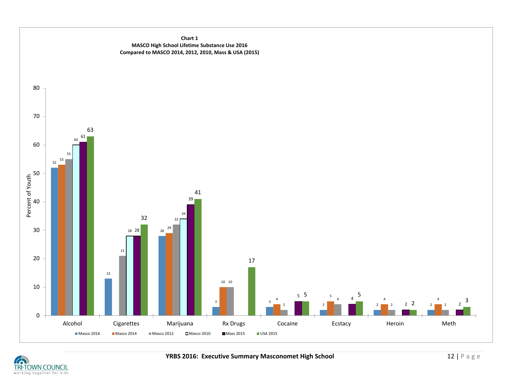

TRI-TOWN COUNCIL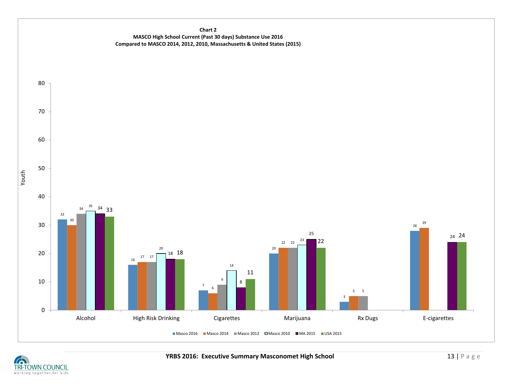#### **Chart 2 MASCO High School Current (Past 30 days) Substance Use 2016 Compared to MASCO 2014, 2012, 2010, Massachusetts & United States (2015)**



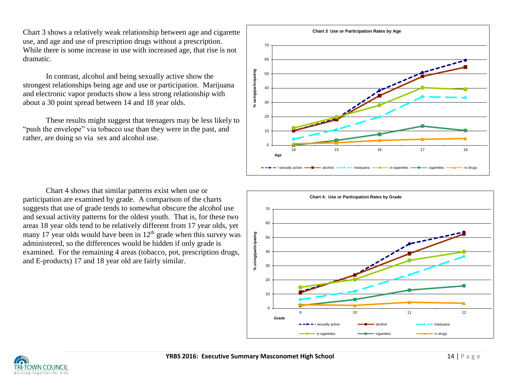Chart 3 shows a relatively weak relationship between age and cigarette use, and age and use of prescription drugs without a prescription. While there is some increase in use with increased age, that rise is not dramatic.

In contrast, alcohol and being sexually active show the strongest relationships being age and use or participation. Marijuana and electronic vapor products show a less strong relationship with about a 30 point spread between 14 and 18 year olds.

These results might suggest that teenagers may be less likely to "push the envelope" via tobacco use than they were in the past, and rather, are doing so via sex and alcohol use.



Chart 4 shows that similar patterns exist when use or participation are examined by grade. A comparison of the charts suggests that use of grade tends to somewhat obscure the alcohol use and sexual activity patterns for the oldest youth. That is, for these two areas 18 year olds tend to be relatively different from 17 year olds, yet many 17 year olds would have been in  $12<sup>th</sup>$  grade when this survey was administered, so the differences would be hidden if only grade is examined. For the remaining 4 areas (tobacco, pot, prescription drugs, and E-products) 17 and 18 year old are fairly similar.



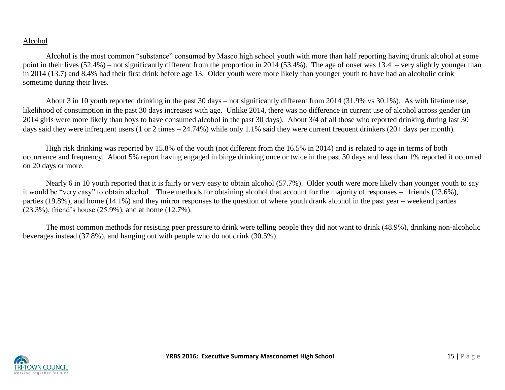## Alcohol

Alcohol is the most common "substance" consumed by Masco high school youth with more than half reporting having drunk alcohol at some point in their lives (52.4%) – not significantly different from the proportion in 2014 (53.4%). The age of onset was 13.4 – very slightly younger than in 2014 (13.7) and 8.4% had their first drink before age 13. Older youth were more likely than younger youth to have had an alcoholic drink sometime during their lives.

About 3 in 10 youth reported drinking in the past 30 days – not significantly different from 2014 (31.9% vs 30.1%). As with lifetime use, likelihood of consumption in the past 30 days increases with age. Unlike 2014, there was no difference in current use of alcohol across gender (in 2014 girls were more likely than boys to have consumed alcohol in the past 30 days). About 3/4 of all those who reported drinking during last 30 days said they were infrequent users (1 or 2 times – 24.74%) while only 1.1% said they were current frequent drinkers (20+ days per month).

High risk drinking was reported by 15.8% of the youth (not different from the 16.5% in 2014) and is related to age in terms of both occurrence and frequency. About 5% report having engaged in binge drinking once or twice in the past 30 days and less than 1% reported it occurred on 20 days or more.

Nearly 6 in 10 youth reported that it is fairly or very easy to obtain alcohol (57.7%). Older youth were more likely than younger youth to say it would be "very easy" to obtain alcohol. Three methods for obtaining alcohol that account for the majority of responses – friends (23.6%), parties (19.8%), and home (14.1%) and they mirror responses to the question of where youth drank alcohol in the past year – weekend parties (23.3%), friend's house (25.9%), and at home (12.7%).

The most common methods for resisting peer pressure to drink were telling people they did not want to drink (48.9%), drinking non-alcoholic beverages instead (37.8%), and hanging out with people who do not drink (30.5%).

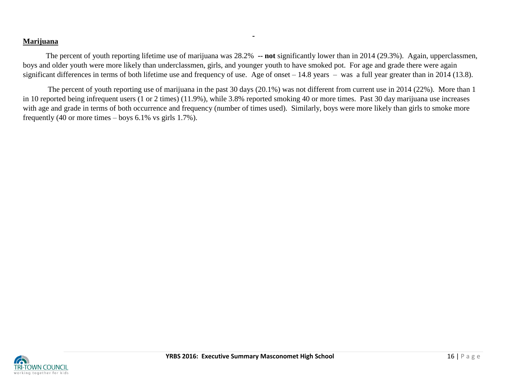## **Marijuana**

The percent of youth reporting lifetime use of marijuana was 28.2% **-- not** significantly lower than in 2014 (29.3%). Again, upperclassmen, boys and older youth were more likely than underclassmen, girls, and younger youth to have smoked pot. For age and grade there were again significant differences in terms of both lifetime use and frequency of use. Age of onset – 14.8 years – was a full year greater than in 2014 (13.8).

The percent of youth reporting use of marijuana in the past 30 days (20.1%) was not different from current use in 2014 (22%). More than 1 in 10 reported being infrequent users (1 or 2 times) (11.9%), while 3.8% reported smoking 40 or more times. Past 30 day marijuana use increases with age and grade in terms of both occurrence and frequency (number of times used). Similarly, boys were more likely than girls to smoke more frequently (40 or more times – boys 6.1% vs girls 1.7%).

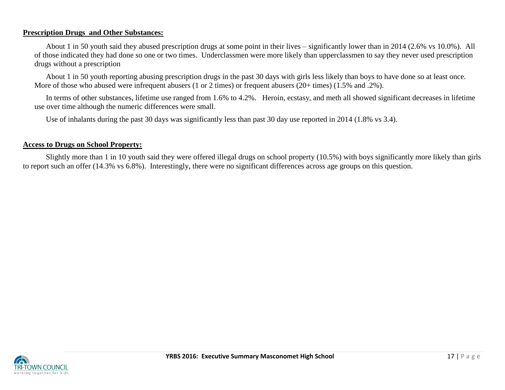### **Prescription Drugs and Other Substances:**

About 1 in 50 youth said they abused prescription drugs at some point in their lives – significantly lower than in 2014 (2.6% vs 10.0%). All of those indicated they had done so one or two times. Underclassmen were more likely than upperclassmen to say they never used prescription drugs without a prescription

About 1 in 50 youth reporting abusing prescription drugs in the past 30 days with girls less likely than boys to have done so at least once. More of those who abused were infrequent abusers (1 or 2 times) or frequent abusers (20+ times) (1.5% and .2%).

In terms of other substances, lifetime use ranged from 1.6% to 4.2%. Heroin, ecstasy, and meth all showed significant decreases in lifetime use over time although the numeric differences were small.

Use of inhalants during the past 30 days was significantly less than past 30 day use reported in 2014 (1.8% vs 3.4).

## **Access to Drugs on School Property:**

Slightly more than 1 in 10 youth said they were offered illegal drugs on school property (10.5%) with boys significantly more likely than girls to report such an offer (14.3% vs 6.8%). Interestingly, there were no significant differences across age groups on this question.

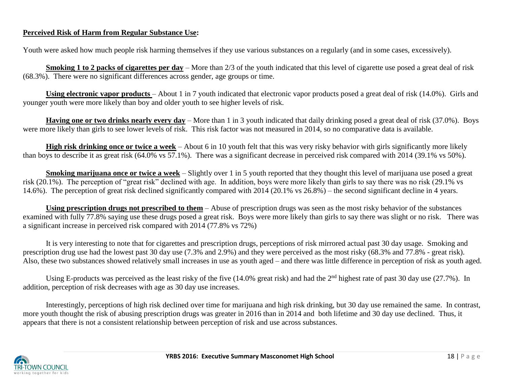## **Perceived Risk of Harm from Regular Substance Use:**

Youth were asked how much people risk harming themselves if they use various substances on a regularly (and in some cases, excessively).

**Smoking 1 to 2 packs of cigarettes per day** – More than 2/3 of the youth indicated that this level of cigarette use posed a great deal of risk (68.3%). There were no significant differences across gender, age groups or time.

**Using electronic vapor products** – About 1 in 7 youth indicated that electronic vapor products posed a great deal of risk (14.0%). Girls and younger youth were more likely than boy and older youth to see higher levels of risk.

**Having one or two drinks nearly every day** – More than 1 in 3 youth indicated that daily drinking posed a great deal of risk (37.0%). Boys were more likely than girls to see lower levels of risk. This risk factor was not measured in 2014, so no comparative data is available.

**High risk drinking once or twice a week** – About 6 in 10 youth felt that this was very risky behavior with girls significantly more likely than boys to describe it as great risk (64.0% vs 57.1%). There was a significant decrease in perceived risk compared with 2014 (39.1% vs 50%).

**Smoking marijuana once or twice a week** – Slightly over 1 in 5 youth reported that they thought this level of marijuana use posed a great risk (20.1%). The perception of "great risk" declined with age. In addition, boys were more likely than girls to say there was no risk (29.1% vs 14.6%). The perception of great risk declined significantly compared with 2014 (20.1% vs 26.8%) – the second significant decline in 4 years.

**Using prescription drugs not prescribed to them** – Abuse of prescription drugs was seen as the most risky behavior of the substances examined with fully 77.8% saying use these drugs posed a great risk. Boys were more likely than girls to say there was slight or no risk. There was a significant increase in perceived risk compared with 2014 (77.8% vs 72%)

It is very interesting to note that for cigarettes and prescription drugs, perceptions of risk mirrored actual past 30 day usage. Smoking and prescription drug use had the lowest past 30 day use (7.3% and 2.9%) and they were perceived as the most risky (68.3% and 77.8% - great risk). Also, these two substances showed relatively small increases in use as youth aged – and there was little difference in perception of risk as youth aged.

Using E-products was perceived as the least risky of the five (14.0% great risk) and had the 2<sup>nd</sup> highest rate of past 30 day use (27.7%). In addition, perception of risk decreases with age as 30 day use increases.

Interestingly, perceptions of high risk declined over time for marijuana and high risk drinking, but 30 day use remained the same. In contrast, more youth thought the risk of abusing prescription drugs was greater in 2016 than in 2014 and both lifetime and 30 day use declined. Thus, it appears that there is not a consistent relationship between perception of risk and use across substances.

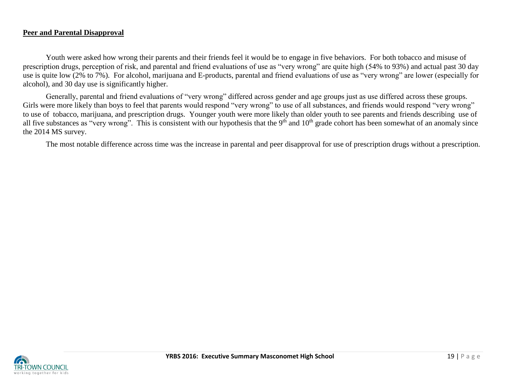### **Peer and Parental Disapproval**

Youth were asked how wrong their parents and their friends feel it would be to engage in five behaviors. For both tobacco and misuse of prescription drugs, perception of risk, and parental and friend evaluations of use as "very wrong" are quite high (54% to 93%) and actual past 30 day use is quite low (2% to 7%). For alcohol, marijuana and E-products, parental and friend evaluations of use as "very wrong" are lower (especially for alcohol), and 30 day use is significantly higher.

Generally, parental and friend evaluations of "very wrong" differed across gender and age groups just as use differed across these groups. Girls were more likely than boys to feel that parents would respond "very wrong" to use of all substances, and friends would respond "very wrong" to use of tobacco, marijuana, and prescription drugs. Younger youth were more likely than older youth to see parents and friends describing use of all five substances as "very wrong". This is consistent with our hypothesis that the  $9<sup>th</sup>$  and  $10<sup>th</sup>$  grade cohort has been somewhat of an anomaly since the 2014 MS survey.

The most notable difference across time was the increase in parental and peer disapproval for use of prescription drugs without a prescription.

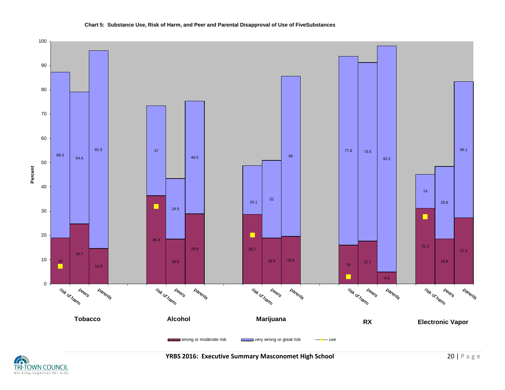#### **Chart 5: Substance Use, Risk of Harm, and Peer and Parental Disapproval of Use of FiveSubstances**





 **YRBS 2016: Executive Summary Masconomet High School <b>20 | P** a g e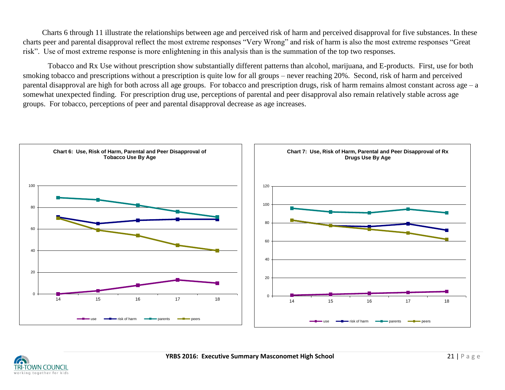Charts 6 through 11 illustrate the relationships between age and perceived risk of harm and perceived disapproval for five substances. In these charts peer and parental disapproval reflect the most extreme responses "Very Wrong" and risk of harm is also the most extreme responses "Great risk". Use of most extreme response is more enlightening in this analysis than is the summation of the top two responses.

Tobacco and Rx Use without prescription show substantially different patterns than alcohol, marijuana, and E-products. First, use for both smoking tobacco and prescriptions without a prescription is quite low for all groups – never reaching 20%. Second, risk of harm and perceived parental disapproval are high for both across all age groups. For tobacco and prescription drugs, risk of harm remains almost constant across age – a somewhat unexpected finding. For prescription drug use, perceptions of parental and peer disapproval also remain relatively stable across age groups. For tobacco, perceptions of peer and parental disapproval decrease as age increases.



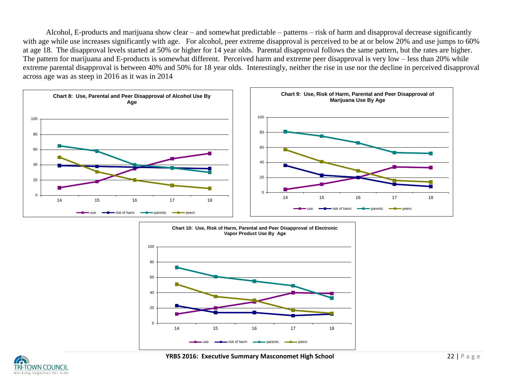Alcohol, E-products and marijuana show clear – and somewhat predictable – patterns – risk of harm and disapproval decrease significantly with age while use increases significantly with age. For alcohol, peer extreme disapproval is perceived to be at or below 20% and use jumps to 60% at age 18. The disapproval levels started at 50% or higher for 14 year olds. Parental disapproval follows the same pattern, but the rates are higher. The pattern for marijuana and E-products is somewhat different. Perceived harm and extreme peer disapproval is very low – less than 20% while extreme parental disapproval is between 40% and 50% for 18 year olds. Interestingly, neither the rise in use nor the decline in perceived disapproval across age was as steep in 2016 as it was in 2014



![](_page_21_Figure_2.jpeg)

![](_page_21_Picture_3.jpeg)

 **YRBS 2016: Executive Summary Masconomet High School 22 | P a g e 22 | P a g e**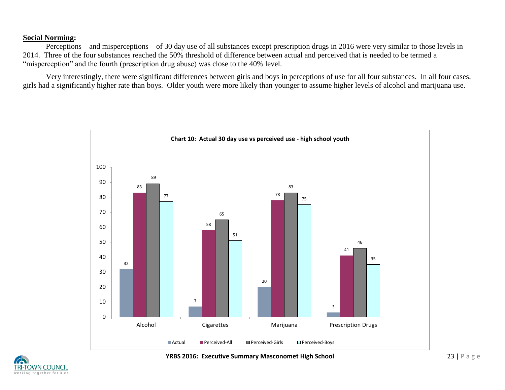### **Social Norming:**

Perceptions – and misperceptions – of 30 day use of all substances except prescription drugs in 2016 were very similar to those levels in 2014. Three of the four substances reached the 50% threshold of difference between actual and perceived that is needed to be termed a "misperception" and the fourth (prescription drug abuse) was close to the 40% level.

Very interestingly, there were significant differences between girls and boys in perceptions of use for all four substances. In all four cases, girls had a significantly higher rate than boys. Older youth were more likely than younger to assume higher levels of alcohol and marijuana use.

![](_page_22_Figure_3.jpeg)

![](_page_22_Picture_4.jpeg)

 **YRBS 2016: Executive Summary Masconomet High School <b>23 | P** a g e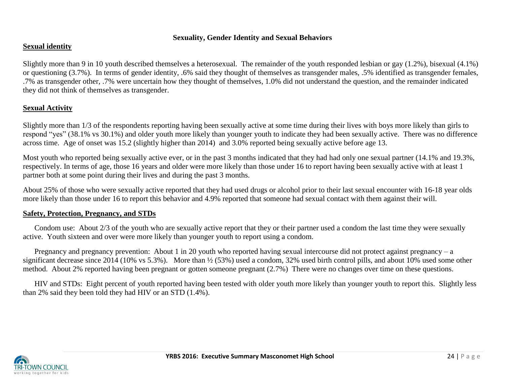#### . **Sexuality, Gender Identity and Sexual Behaviors**

## **Sexual identity**

Slightly more than 9 in 10 youth described themselves a heterosexual. The remainder of the youth responded lesbian or gay (1.2%), bisexual (4.1%) or questioning (3.7%). In terms of gender identity, .6% said they thought of themselves as transgender males, .5% identified as transgender females, .7% as transgender other, .7% were uncertain how they thought of themselves, 1.0% did not understand the question, and the remainder indicated they did not think of themselves as transgender.

## **Sexual Activity**

Slightly more than 1/3 of the respondents reporting having been sexually active at some time during their lives with boys more likely than girls to respond "yes" (38.1% vs 30.1%) and older youth more likely than younger youth to indicate they had been sexually active. There was no difference across time. Age of onset was 15.2 (slightly higher than 2014) and 3.0% reported being sexually active before age 13.

Most youth who reported being sexually active ever, or in the past 3 months indicated that they had had only one sexual partner (14.1% and 19.3%, respectively. In terms of age, those 16 years and older were more likely than those under 16 to report having been sexually active with at least 1 partner both at some point during their lives and during the past 3 months.

About 25% of those who were sexually active reported that they had used drugs or alcohol prior to their last sexual encounter with 16-18 year olds more likely than those under 16 to report this behavior and 4.9% reported that someone had sexual contact with them against their will.

### **Safety, Protection, Pregnancy, and STDs**

Condom use: About 2/3 of the youth who are sexually active report that they or their partner used a condom the last time they were sexually active. Youth sixteen and over were more likely than younger youth to report using a condom.

Pregnancy and pregnancy prevention: About 1 in 20 youth who reported having sexual intercourse did not protect against pregnancy – a significant decrease since 2014 (10% vs 5.3%). More than ½ (53%) used a condom, 32% used birth control pills, and about 10% used some other method. About 2% reported having been pregnant or gotten someone pregnant (2.7%) There were no changes over time on these questions.

HIV and STDs: Eight percent of youth reported having been tested with older youth more likely than younger youth to report this. Slightly less than 2% said they been told they had HIV or an STD (1.4%).

![](_page_23_Picture_11.jpeg)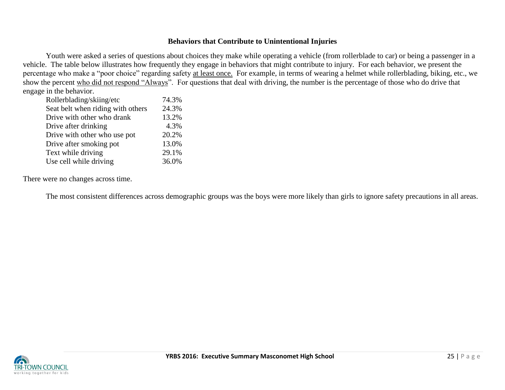### **Behaviors that Contribute to Unintentional Injuries**

Youth were asked a series of questions about choices they make while operating a vehicle (from rollerblade to car) or being a passenger in a vehicle. The table below illustrates how frequently they engage in behaviors that might contribute to injury. For each behavior, we present the percentage who make a "poor choice" regarding safety at least once. For example, in terms of wearing a helmet while rollerblading, biking, etc., we show the percent who did not respond "Always". For questions that deal with driving, the number is the percentage of those who do drive that engage in the behavior.

| Rollerblading/skiing/etc          | 74.3% |
|-----------------------------------|-------|
| Seat belt when riding with others | 24.3% |
| Drive with other who drank        | 13.2% |
| Drive after drinking              | 4.3%  |
| Drive with other who use pot      | 20.2% |
| Drive after smoking pot           | 13.0% |
| Text while driving                | 29.1% |
| Use cell while driving            | 36.0% |
|                                   |       |

There were no changes across time.

The most consistent differences across demographic groups was the boys were more likely than girls to ignore safety precautions in all areas.

![](_page_24_Picture_5.jpeg)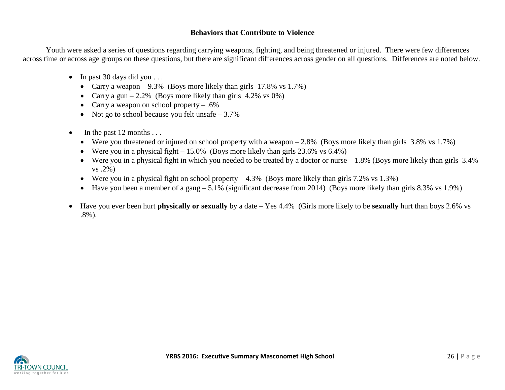## **Behaviors that Contribute to Violence**

Youth were asked a series of questions regarding carrying weapons, fighting, and being threatened or injured. There were few differences across time or across age groups on these questions, but there are significant differences across gender on all questions. Differences are noted below.

- $\bullet$  In past 30 days did you . . .
	- Carry a weapon 9.3% (Boys more likely than girls 17.8% vs 1.7%)
	- Carry a gun  $-2.2\%$  (Boys more likely than girls 4.2% vs 0%)
	- Carry a weapon on school property  $-.6\%$
	- Not go to school because you felt unsafe  $-3.7\%$
- $\bullet$  In the past 12 months ...
	- Were you threatened or injured on school property with a weapon  $-2.8\%$  (Boys more likely than girls 3.8% vs 1.7%)
	- Were you in a physical fight  $-15.0\%$  (Boys more likely than girls 23.6% vs 6.4%)
	- Were you in a physical fight in which you needed to be treated by a doctor or nurse  $-1.8\%$  (Boys more likely than girls 3.4%) vs .2%)
	- Were you in a physical fight on school property  $-4.3\%$  (Boys more likely than girls 7.2% vs 1.3%)
	- $\bullet$  Have you been a member of a gang 5.1% (significant decrease from 2014) (Boys more likely than girls 8.3% vs 1.9%)
- Have you ever been hurt **physically or sexually** by a date Yes 4.4% (Girls more likely to be **sexually** hurt than boys 2.6% vs .8%).

![](_page_25_Picture_14.jpeg)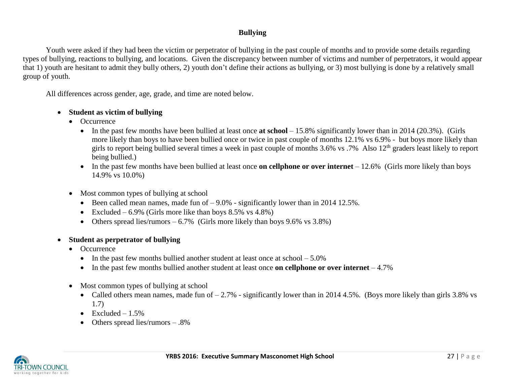# **Bullying**

Youth were asked if they had been the victim or perpetrator of bullying in the past couple of months and to provide some details regarding types of bullying, reactions to bullying, and locations. Given the discrepancy between number of victims and number of perpetrators, it would appear that 1) youth are hesitant to admit they bully others, 2) youth don't define their actions as bullying, or 3) most bullying is done by a relatively small group of youth.

All differences across gender, age, grade, and time are noted below.

### **Student as victim of bullying**

- Occurrence
	- In the past few months have been bullied at least once **at school** 15.8% significantly lower than in 2014 (20.3%). (Girls more likely than boys to have been bullied once or twice in past couple of months 12.1% vs 6.9% - but boys more likely than girls to report being bullied several times a week in past couple of months  $3.6\%$  vs  $.7\%$  Also  $12<sup>th</sup>$  graders least likely to report being bullied.)
	- In the past few months have been bullied at least once **on cellphone or over internet** 12.6% (Girls more likely than boys 14.9% vs 10.0%)
- Most common types of bullying at school
	- Been called mean names, made fun of  $-9.0\%$  significantly lower than in 2014 12.5%.
	- Excluded 6.9% (Girls more like than boys  $8.5\%$  vs  $4.8\%$ )
	- Others spread lies/rumors  $6.7\%$  (Girls more likely than boys 9.6% vs 3.8%)
- **Student as perpetrator of bullying**
	- Occurrence
		- In the past few months bullied another student at least once at  $\text{school} 5.0\%$
		- In the past few months bullied another student at least once **on cellphone or over internet** 4.7%
	- Most common types of bullying at school
		- Called others mean names, made fun of  $-2.7\%$  significantly lower than in 2014 4.5%. (Boys more likely than girls 3.8% vs 1.7)
		- $\bullet$  Excluded 1.5%
		- Others spread lies/rumors .8%

![](_page_26_Picture_19.jpeg)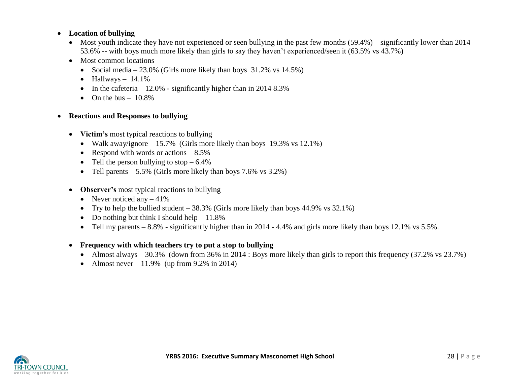## **Location of bullying**

- Most youth indicate they have not experienced or seen bullying in the past few months  $(59.4%)$  significantly lower than 2014 53.6% -- with boys much more likely than girls to say they haven't experienced/seen it (63.5% vs 43.7%)
- Most common locations
	- Social media 23.0% (Girls more likely than boys  $31.2\%$  vs  $14.5\%$ )
	- $\bullet$  Hallways 14.1%
	- In the cafeteria  $-12.0\%$  significantly higher than in 2014 8.3%
	- $\bullet$  On the bus 10.8%
- **Reactions and Responses to bullying**
	- Victim's most typical reactions to bullying
		- Walk away/ignore  $-15.7\%$  (Girls more likely than boys 19.3% vs 12.1%)
		- Respond with words or actions  $-8.5\%$
		- Tell the person bullying to stop  $-6.4\%$
		- Tell parents  $-5.5\%$  (Girls more likely than boys 7.6% vs 3.2%)
	- **Observer's** most typical reactions to bullying
		- Never noticed any  $-41\%$
		- Try to help the bullied student  $-38.3\%$  (Girls more likely than boys 44.9% vs 32.1%)
		- Do nothing but think I should help  $-11.8\%$
		- Tell my parents  $-8.8\%$  significantly higher than in 2014 4.4% and girls more likely than boys 12.1% vs 5.5%.

## **Frequency with which teachers try to put a stop to bullying**

- Almost always 30.3% (down from 36% in 2014 : Boys more likely than girls to report this frequency  $(37.2\% \text{ vs } 23.7\%)$
- Almost never  $-11.9\%$  (up from 9.2% in 2014)

![](_page_27_Picture_21.jpeg)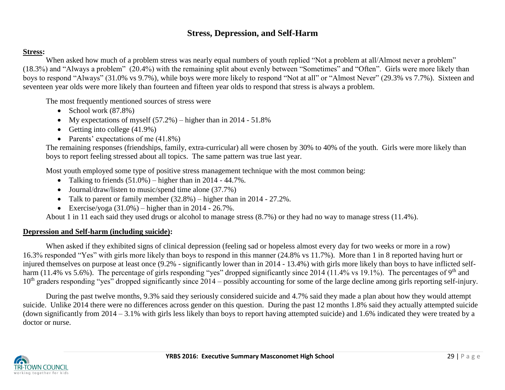# **Stress, Depression, and Self-Harm**

## **Stress:**

When asked how much of a problem stress was nearly equal numbers of youth replied "Not a problem at all/Almost never a problem" (18.3%) and "Always a problem" (20.4%) with the remaining split about evenly between "Sometimes" and "Often". Girls were more likely than boys to respond "Always" (31.0% vs 9.7%), while boys were more likely to respond "Not at all" or "Almost Never" (29.3% vs 7.7%). Sixteen and seventeen year olds were more likely than fourteen and fifteen year olds to respond that stress is always a problem.

The most frequently mentioned sources of stress were

- School work  $(87.8\%)$
- My expectations of myself  $(57.2%)$  higher than in 2014 51.8%
- Getting into college  $(41.9\%)$
- Parents' expectations of me  $(41.8\%)$

The remaining responses (friendships, family, extra-curricular) all were chosen by 30% to 40% of the youth. Girls were more likely than boys to report feeling stressed about all topics. The same pattern was true last year.

Most youth employed some type of positive stress management technique with the most common being:

- Talking to friends  $(51.0\%)$  higher than in 2014 44.7%.
- Journal/draw/listen to music/spend time alone (37.7%)
- Talk to parent or family member  $(32.8\%)$  higher than in 2014 27.2%.
- Exercise/yoga  $(31.0\%)$  higher than in 2014 26.7%.

About 1 in 11 each said they used drugs or alcohol to manage stress (8.7%) or they had no way to manage stress (11.4%).

# **Depression and Self-harm (including suicide):**

When asked if they exhibited signs of clinical depression (feeling sad or hopeless almost every day for two weeks or more in a row) 16.3% responded "Yes" with girls more likely than boys to respond in this manner (24.8% vs 11.7%). More than 1 in 8 reported having hurt or injured themselves on purpose at least once (9.2% - significantly lower than in 2014 - 13.4%) with girls more likely than boys to have inflicted selfharm (11.4% vs 5.6%). The percentage of girls responding "yes" dropped significantly since 2014 (11.4% vs 19.1%). The percentages of 9<sup>th</sup> and 10<sup>th</sup> graders responding "yes" dropped significantly since 2014 – possibly accounting for some of the large decline among girls reporting self-injury.

During the past twelve months, 9.3% said they seriously considered suicide and 4.7% said they made a plan about how they would attempt suicide. Unlike 2014 there were no differences across gender on this question. During the past 12 months 1.8% said they actually attempted suicide (down significantly from 2014 – 3.1% with girls less likely than boys to report having attempted suicide) and 1.6% indicated they were treated by a doctor or nurse.

![](_page_28_Picture_18.jpeg)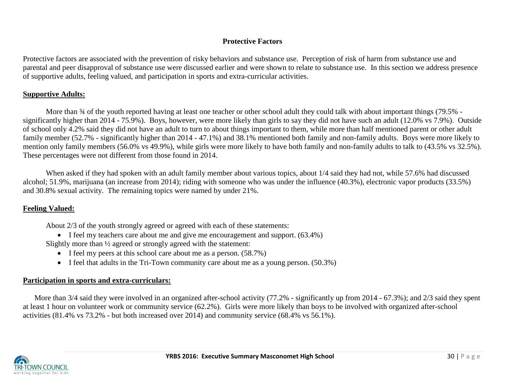## **Protective Factors**

Protective factors are associated with the prevention of risky behaviors and substance use. Perception of risk of harm from substance use and parental and peer disapproval of substance use were discussed earlier and were shown to relate to substance use. In this section we address presence of supportive adults, feeling valued, and participation in sports and extra-curricular activities.

# **Supportive Adults:**

More than  $\frac{3}{4}$  of the youth reported having at least one teacher or other school adult they could talk with about important things (79.5% significantly higher than 2014 - 75.9%). Boys, however, were more likely than girls to say they did not have such an adult (12.0% vs 7.9%). Outside of school only 4.2% said they did not have an adult to turn to about things important to them, while more than half mentioned parent or other adult family member (52.7% - significantly higher than 2014 - 47.1%) and 38.1% mentioned both family and non-family adults. Boys were more likely to mention only family members (56.0% vs 49.9%), while girls were more likely to have both family and non-family adults to talk to (43.5% vs 32.5%). These percentages were not different from those found in 2014.

When asked if they had spoken with an adult family member about various topics, about 1/4 said they had not, while 57.6% had discussed alcohol; 51.9%, marijuana (an increase from 2014); riding with someone who was under the influence (40.3%), electronic vapor products (33.5%) and 30.8% sexual activity. The remaining topics were named by under 21%.

# **Feeling Valued:**

About 2/3 of the youth strongly agreed or agreed with each of these statements:

• I feel my teachers care about me and give me encouragement and support. (63.4%)

Slightly more than ½ agreed or strongly agreed with the statement:

- I feel my peers at this school care about me as a person. (58.7%)
- $\bullet$  I feel that adults in the Tri-Town community care about me as a young person. (50.3%)

# **Participation in sports and extra-curriculars:**

More than 3/4 said they were involved in an organized after-school activity (77.2% - significantly up from 2014 - 67.3%); and 2/3 said they spent at least 1 hour on volunteer work or community service (62.2%). Girls were more likely than boys to be involved with organized after-school activities (81.4% vs 73.2% - but both increased over 2014) and community service (68.4% vs 56.1%).

![](_page_29_Picture_13.jpeg)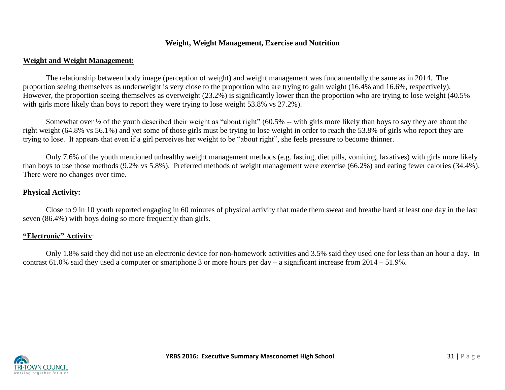### **Weight, Weight Management, Exercise and Nutrition**

### **Weight and Weight Management:**

The relationship between body image (perception of weight) and weight management was fundamentally the same as in 2014. The proportion seeing themselves as underweight is very close to the proportion who are trying to gain weight (16.4% and 16.6%, respectively). However, the proportion seeing themselves as overweight (23.2%) is significantly lower than the proportion who are trying to lose weight (40.5% with girls more likely than boys to report they were trying to lose weight 53.8% vs 27.2%).

Somewhat over ½ of the youth described their weight as "about right" (60.5% -- with girls more likely than boys to say they are about the right weight (64.8% vs 56.1%) and yet some of those girls must be trying to lose weight in order to reach the 53.8% of girls who report they are trying to lose. It appears that even if a girl perceives her weight to be "about right", she feels pressure to become thinner.

Only 7.6% of the youth mentioned unhealthy weight management methods (e.g. fasting, diet pills, vomiting, laxatives) with girls more likely than boys to use those methods (9.2% vs 5.8%). Preferred methods of weight management were exercise (66.2%) and eating fewer calories (34.4%). There were no changes over time.

## **Physical Activity:**

Close to 9 in 10 youth reported engaging in 60 minutes of physical activity that made them sweat and breathe hard at least one day in the last seven (86.4%) with boys doing so more frequently than girls.

### **"Electronic" Activity**:

Only 1.8% said they did not use an electronic device for non-homework activities and 3.5% said they used one for less than an hour a day. In contrast 61.0% said they used a computer or smartphone 3 or more hours per day – a significant increase from 2014 – 51.9%.

![](_page_30_Picture_9.jpeg)